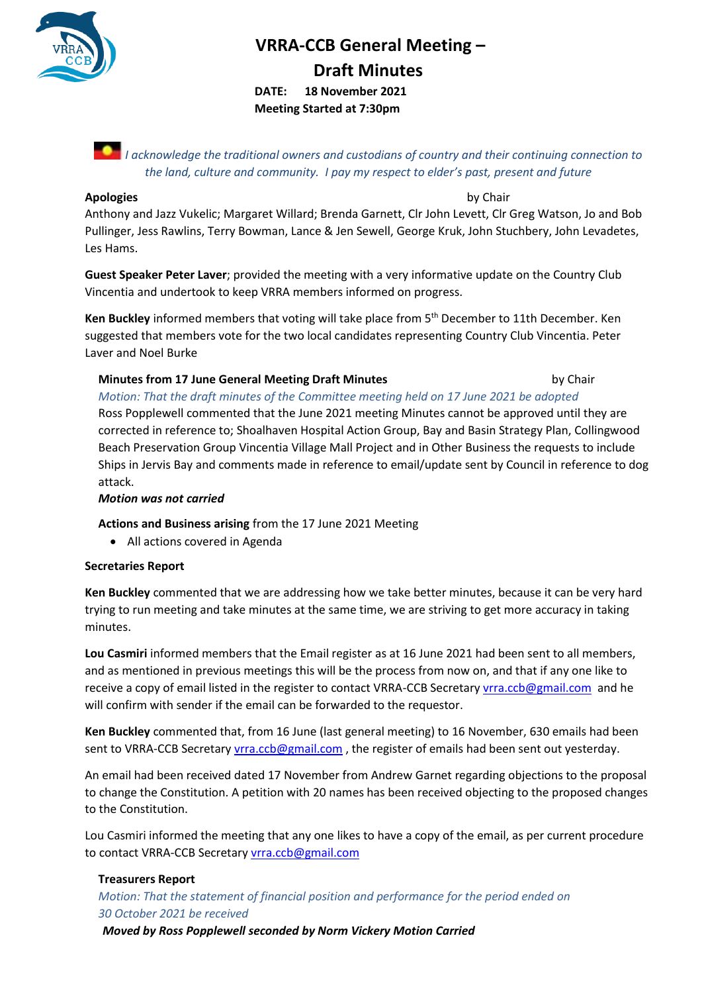

# **VRRA-CCB General Meeting – Draft Minutes**

**DATE: 18 November 2021 Meeting Started at 7:30pm**

*I acknowledge the traditional owners and custodians of country and their continuing connection to the land, culture and community. I pay my respect to elder's past, present and future*

#### **Apologies** by Chair

Anthony and Jazz Vukelic; Margaret Willard; Brenda Garnett, Clr John Levett, Clr Greg Watson, Jo and Bob Pullinger, Jess Rawlins, Terry Bowman, Lance & Jen Sewell, George Kruk, John Stuchbery, John Levadetes, Les Hams.

**Guest Speaker Peter Laver**; provided the meeting with a very informative update on the Country Club Vincentia and undertook to keep VRRA members informed on progress.

Ken Buckley informed members that voting will take place from 5<sup>th</sup> December to 11th December. Ken suggested that members vote for the two local candidates representing Country Club Vincentia. Peter Laver and Noel Burke

# **Minutes from 17 June General Meeting Draft Minutes** *by Chair*

*Motion: That the draft minutes of the Committee meeting held on 17 June 2021 be adopted*  Ross Popplewell commented that the June 2021 meeting Minutes cannot be approved until they are corrected in reference to; Shoalhaven Hospital Action Group, Bay and Basin Strategy Plan, Collingwood Beach Preservation Group Vincentia Village Mall Project and in Other Business the requests to include Ships in Jervis Bay and comments made in reference to email/update sent by Council in reference to dog attack.

#### *Motion was not carried*

**Actions and Business arising** from the 17 June 2021 Meeting

• All actions covered in Agenda

#### **Secretaries Report**

**Ken Buckley** commented that we are addressing how we take better minutes, because it can be very hard trying to run meeting and take minutes at the same time, we are striving to get more accuracy in taking minutes.

**Lou Casmiri** informed members that the Email register as at 16 June 2021 had been sent to all members, and as mentioned in previous meetings this will be the process from now on, and that if any one like to receive a copy of email listed in the register to contact VRRA-CCB Secretar[y vrra.ccb@gmail.com](mailto:vrra.ccb@gmail.com) and he will confirm with sender if the email can be forwarded to the requestor.

**Ken Buckley** commented that, from 16 June (last general meeting) to 16 November, 630 emails had been sent to VRRA-CCB Secretar[y vrra.ccb@gmail.com](mailto:vrra.ccb@gmail.com), the register of emails had been sent out yesterday.

An email had been received dated 17 November from Andrew Garnet regarding objections to the proposal to change the Constitution. A petition with 20 names has been received objecting to the proposed changes to the Constitution.

Lou Casmiri informed the meeting that any one likes to have a copy of the email, as per current procedure to contact VRRA-CCB Secretary [vrra.ccb@gmail.com](mailto:vrra.ccb@gmail.com)

# **Treasurers Report**

*Motion: That the statement of financial position and performance for the period ended on 30 October 2021 be received*

 *Moved by Ross Popplewell seconded by Norm Vickery Motion Carried*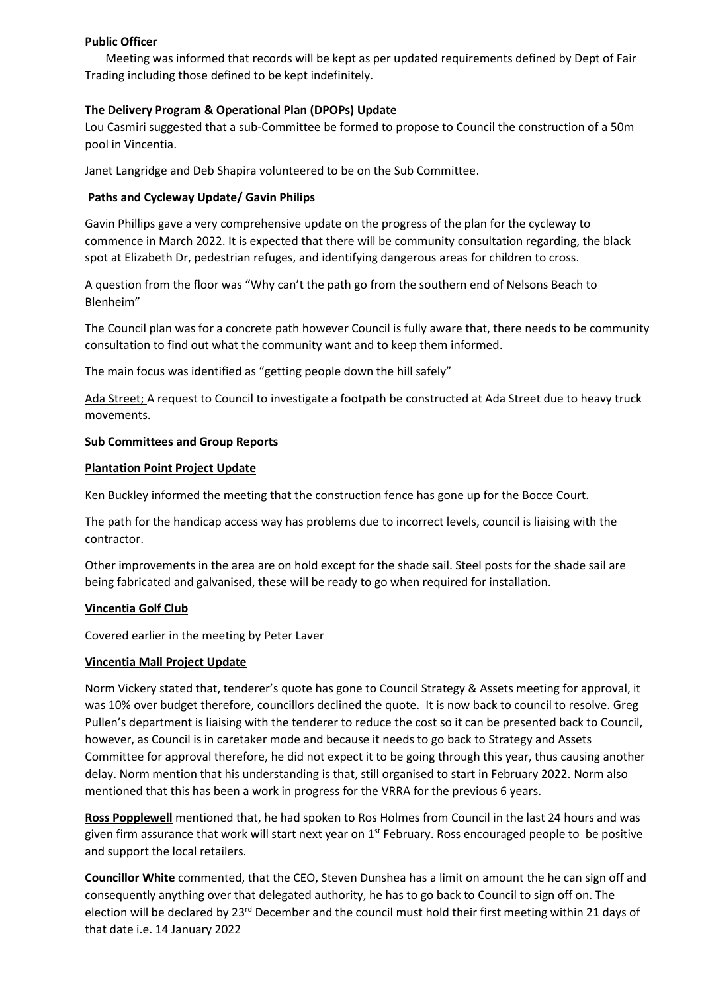#### **Public Officer**

 Meeting was informed that records will be kept as per updated requirements defined by Dept of Fair Trading including those defined to be kept indefinitely.

# **The Delivery Program & Operational Plan (DPOPs) Update**

Lou Casmiri suggested that a sub-Committee be formed to propose to Council the construction of a 50m pool in Vincentia.

Janet Langridge and Deb Shapira volunteered to be on the Sub Committee.

# **Paths and Cycleway Update/ Gavin Philips**

Gavin Phillips gave a very comprehensive update on the progress of the plan for the cycleway to commence in March 2022. It is expected that there will be community consultation regarding, the black spot at Elizabeth Dr, pedestrian refuges, and identifying dangerous areas for children to cross.

A question from the floor was "Why can't the path go from the southern end of Nelsons Beach to Blenheim"

The Council plan was for a concrete path however Council is fully aware that, there needs to be community consultation to find out what the community want and to keep them informed.

The main focus was identified as "getting people down the hill safely"

Ada Street; A request to Council to investigate a footpath be constructed at Ada Street due to heavy truck movements.

# **Sub Committees and Group Reports**

# **Plantation Point Project Update**

Ken Buckley informed the meeting that the construction fence has gone up for the Bocce Court.

The path for the handicap access way has problems due to incorrect levels, council is liaising with the contractor.

Other improvements in the area are on hold except for the shade sail. Steel posts for the shade sail are being fabricated and galvanised, these will be ready to go when required for installation.

# **Vincentia Golf Club**

Covered earlier in the meeting by Peter Laver

#### **Vincentia Mall Project Update**

Norm Vickery stated that, tenderer's quote has gone to Council Strategy & Assets meeting for approval, it was 10% over budget therefore, councillors declined the quote. It is now back to council to resolve. Greg Pullen's department is liaising with the tenderer to reduce the cost so it can be presented back to Council, however, as Council is in caretaker mode and because it needs to go back to Strategy and Assets Committee for approval therefore, he did not expect it to be going through this year, thus causing another delay. Norm mention that his understanding is that, still organised to start in February 2022. Norm also mentioned that this has been a work in progress for the VRRA for the previous 6 years.

**Ross Popplewell** mentioned that, he had spoken to Ros Holmes from Council in the last 24 hours and was given firm assurance that work will start next year on  $1<sup>st</sup>$  February. Ross encouraged people to be positive and support the local retailers.

**Councillor White** commented, that the CEO, Steven Dunshea has a limit on amount the he can sign off and consequently anything over that delegated authority, he has to go back to Council to sign off on. The election will be declared by 23<sup>rd</sup> December and the council must hold their first meeting within 21 days of that date i.e. 14 January 2022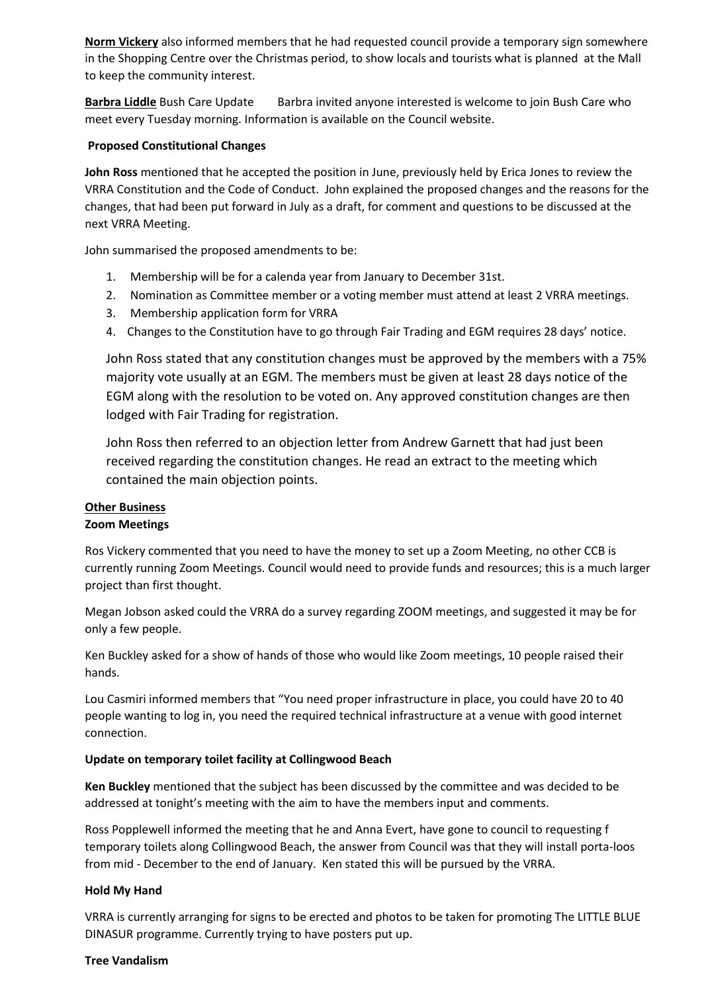**Norm Vickery** also informed members that he had requested council provide a temporary sign somewhere in the Shopping Centre over the Christmas period, to show locals and tourists what is planned at the Mall to keep the community interest.

**Barbra Liddle** Bush Care Update Barbra invited anyone interested is welcome to join Bush Care who meet every Tuesday morning. Information is available on the Council website.

#### **Proposed Constitutional Changes**

**John Ross** mentioned that he accepted the position in June, previously held by Erica Jones to review the VRRA Constitution and the Code of Conduct. John explained the proposed changes and the reasons for the changes, that had been put forward in July as a draft, for comment and questions to be discussed at the next VRRA Meeting.

John summarised the proposed amendments to be:

- 1. Membership will be for a calenda year from January to December 31st.
- 2. Nomination as Committee member or a voting member must attend at least 2 VRRA meetings.
- 3. Membership application form for VRRA
- 4. Changes to the Constitution have to go through Fair Trading and EGM requires 28 days' notice.

John Ross stated that any constitution changes must be approved by the members with a 75% majority vote usually at an EGM. The members must be given at least 28 days notice of the EGM along with the resolution to be voted on. Any approved constitution changes are then lodged with Fair Trading for registration.

John Ross then referred to an objection letter from Andrew Garnett that had just been received regarding the constitution changes. He read an extract to the meeting which contained the main objection points.

# **Other Business**

#### **Zoom Meetings**

Ros Vickery commented that you need to have the money to set up a Zoom Meeting, no other CCB is currently running Zoom Meetings. Council would need to provide funds and resources; this is a much larger project than first thought.

Megan Jobson asked could the VRRA do a survey regarding ZOOM meetings, and suggested it may be for only a few people.

Ken Buckley asked for a show of hands of those who would like Zoom meetings, 10 people raised their hands.

Lou Casmiri informed members that "You need proper infrastructure in place, you could have 20 to 40 people wanting to log in, you need the required technical infrastructure at a venue with good internet connection.

#### **Update on temporary toilet facility at Collingwood Beach**

**Ken Buckley** mentioned that the subject has been discussed by the committee and was decided to be addressed at tonight's meeting with the aim to have the members input and comments.

Ross Popplewell informed the meeting that he and Anna Evert, have gone to council to requesting f temporary toilets along Collingwood Beach, the answer from Council was that they will install porta-loos from mid - December to the end of January. Ken stated this will be pursued by the VRRA.

#### **Hold My Hand**

VRRA is currently arranging for signs to be erected and photos to be taken for promoting The LITTLE BLUE DINASUR programme. Currently trying to have posters put up.

#### **Tree Vandalism**